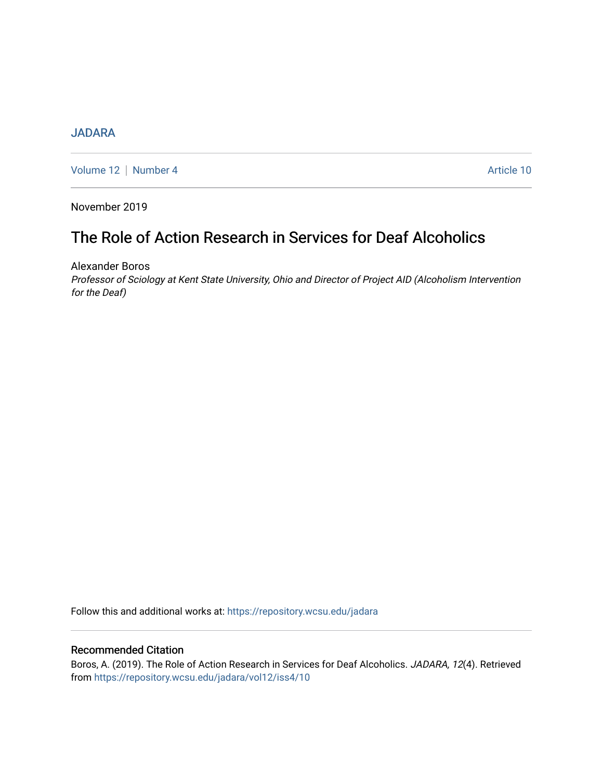# **[JADARA](https://repository.wcsu.edu/jadara)**

[Volume 12](https://repository.wcsu.edu/jadara/vol12) | [Number 4](https://repository.wcsu.edu/jadara/vol12/iss4) Article 10

November 2019

# The Role of Action Research in Services for Deaf Alcoholics

Alexander Boros

Professor of Sciology at Kent State University, Ohio and Director of Project AID (Alcoholism Intervention for the Deaf)

Follow this and additional works at: [https://repository.wcsu.edu/jadara](https://repository.wcsu.edu/jadara?utm_source=repository.wcsu.edu%2Fjadara%2Fvol12%2Fiss4%2F10&utm_medium=PDF&utm_campaign=PDFCoverPages)

# Recommended Citation

Boros, A. (2019). The Role of Action Research in Services for Deaf Alcoholics. JADARA, 12(4). Retrieved from [https://repository.wcsu.edu/jadara/vol12/iss4/10](https://repository.wcsu.edu/jadara/vol12/iss4/10?utm_source=repository.wcsu.edu%2Fjadara%2Fvol12%2Fiss4%2F10&utm_medium=PDF&utm_campaign=PDFCoverPages)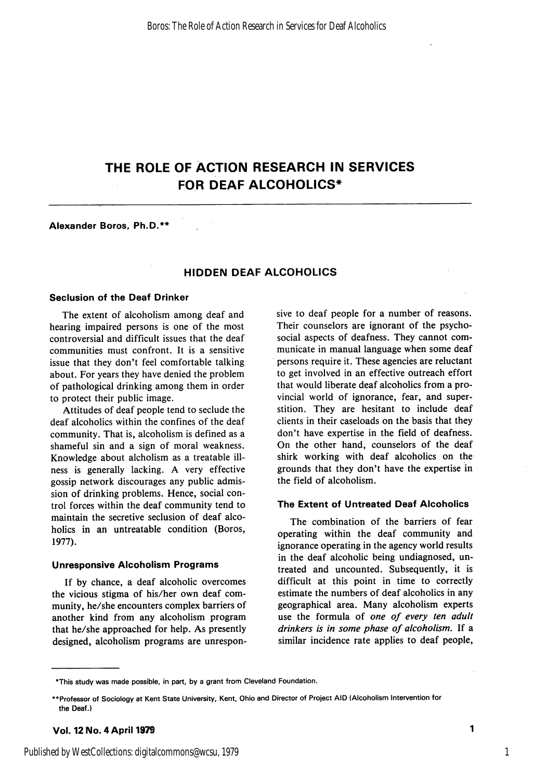# THE ROLE OF ACTION RESEARCH IN SERVICES FOR DEAF ALCOHOLICS\*

#### Alexander Boros, Ph.D.\*\*

### HIDDEN DEAF ALCOHOLICS

#### Seclusion of the Deaf Drinker

The extent of alcoholism among deaf and hearing impaired persons is one of the most controversial and difficult issues that the deaf communities must confront. It is a sensitive issue that they don't feel comfortable talking about. For years they have denied the problem of pathological drinking among them in order to protect their public image.

Attitudes of deaf people tend to seclude the deaf alcoholics within the confines of the deaf community. That is, alcoholism is defined as a shameful sin and a sign of moral weakness. Knowledge about alcholism as a treatable ill ness is generally lacking. A very effective gossip network discourages any public admis sion of drinking problems. Hence, social con trol forces within the deaf community tend to maintain the secretive seclusion of deaf alco holics in an untreatable condition (Boros, 1977).

#### Unresponsive Alcoholism Programs

If by chance, a deaf alcoholic overcomes the vicious stigma of his/her own deaf com munity, he/she encounters complex barriers of another kind from any alcoholism program that he/she approached for help. As presently designed, alcoholism programs are unrespon sive to deaf people for a number of reasons. Their counselors are ignorant of the psychosocial aspects of deafness. They cannot com municate in manual language when some deaf persons require it. These agencies are reluctant to get involved in an effective outreach effort that would liberate deaf alcoholics from a pro vincial world of ignorance, fear, and super stition. They are hesitant to include deaf clients in their caseloads on the basis that they don't have expertise in the field of deafness. On the other hand, counselors of the deaf shirk working with deaf alcoholics on the grounds that they don't have the expertise in the field of alcoholism.

#### The Extent of Untreated Deaf Alcoholics

The combination of the barriers of fear operating within the deaf community and ignorance operating in the agency world results in the deaf alcoholic being undiagnosed, un treated and uncounted. Subsequently, it is difficult at this point in time to correctly estimate the numbers of deaf alcoholics in any geographical area. Many alcoholism experts use the formula of one of every ten adult drinkers is in some phase of alcoholism. If a similar incidence rate applies to deaf people.

<sup>\*</sup>This study was made possible, in part, by a grant from Cleveland Foundation.

<sup>\*\*</sup>Professor of Sociology at Kent State University, Kent, Ohio and Director of Project AID (Alcoholism Intervention for the Deaf.)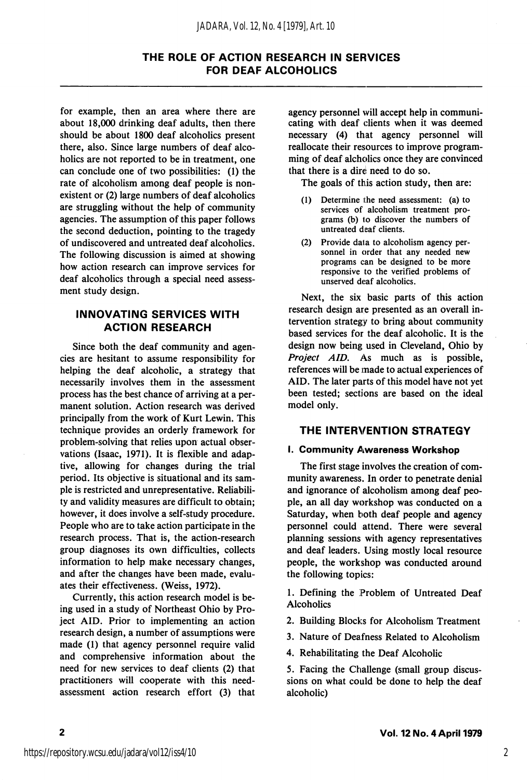# THE ROLE OF ACTION RESEARCH IN SERVICES FOR DEAF ALCOHOLICS

for example, then an area where there are about 18,000 drinking deaf adults, then there should be about 1800 deaf alcoholics present there, also. Since large numbers of deaf alco holics are not reported to be in treatment, one can conclude one of two possibilities: (1) the rate of alcoholism among deaf people is non existent or (2) large numbers of deaf alcoholics are struggling without the help of community agencies. The assumption of this paper follows the second deduction, pointing to the tragedy of undiscovered and untreated deaf alcoholics. The following discussion is aimed at showing how action research can improve services for deaf alcoholics through a special need assess ment study design.

### INNOVATING SERVICES WITH ACTION RESEARCH

Since both the deaf community and agen cies are hesitant to assume responsibility for helping the deaf alcoholic, a strategy that necessarily involves them in the assessment process has the best chance of arriving at a per manent solution. Action research was derived principally from the work of Kurt Lewin. This technique provides an orderly framework for problem-solving that relies upon actual obser vations (Isaac, 1971). It is flexible and adap tive, allowing for changes during the trial period. Its objective is situational and its sam ple is restricted and unrepresentative. Reliabili ty and validity measures are difficult to obtain; however, it does involve a self-study procedure. People who are to take action participate in the research process. That is, the action-research group diagnoses its own difficulties, collects information to help make necessary changes, and after the changes have been made, evalu ates their effectiveness. (Weiss, 1972).

Currently, this action research model is be ing used in a study of Northeast Ohio by Pro ject AID. Prior to implementing an action research design, a number of assumptions were made (1) that agency personnel require valid and comprehensive information about the need for new services to deaf clients (2) that practitioners will cooperate with this needassessment action research effort (3) that

agency personnel will accept help in communi cating with deaf clients when it was deemed necessary (4) that agency personnel will reallocate their resources to improve program ming of deaf alcholics once they are convinced that there is a direi need to do so.

The goals of this action study, then are:

- (1) Determine the need assessment: (a) to services of alcoholism treatment pro grams (b) to discover the numbers of untreated deaf clients.
- (2) Provide data to alcoholism agency per sonnel in order that any needed new programs can be designed to be more responsive to the verified problems of unserved deaf alcoholics.

Next, the six basic parts of this action research design are presented as an overall in tervention strategy to bring about community based services for the deaf alcoholic. It is the design now being used in Cleveland, Ohio by Project AID, As much as is possible, references will be made to actual experiences of AID. The later parts of this model have not yet been tested; sections are based on the ideal model only.

#### THE INTERVENTION STRATEGY

#### I. Community Awareness Workshop

The first stage involves the creation of com munity awareness. In order to penetrate denial and ignorance of alcoholism among deaf peo ple, an all day workshop was conducted on a Saturday, when both deaf people and agency personnel could attend. There were several planning sessions with agency representatives and deaf leaders. Using mostly local resource people, the workshop was conducted around the following topics:

1. Defining the Problem of Untreated Deaf **Alcoholics** 

2. Building Blocks for Alcoholism Treatment

3. Nature of Deafness Related to Alcoholism

4. Rehabilitating the Deaf Alcoholic

5. Facing the Challenge (small group discus sions on what could be done to help the deaf alcoholic)

 $\overline{2}$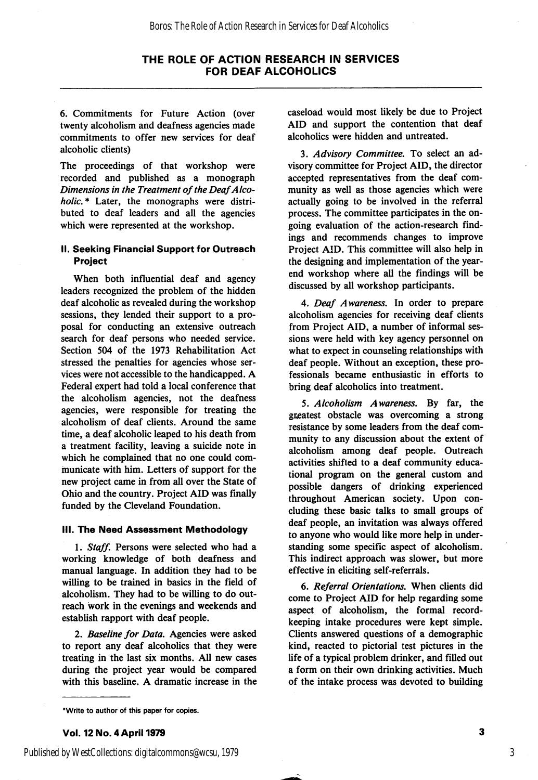#### THE ROLE OF ACTION RESEARCH IN SERVICES FOR DEAF ALCOHOLICS

6. Commitments for Future Action (over twenty alcoholism and deafness agencies made commitments to offer new services for deaf alcoholic clients)

The proceedings of that workshop were recorded and published as a monograph Dimensions in the Treatment of the Deaf Alco holic.\* Later, the monographs were distributed to deaf leaders and all the agencies which were represented at the workshop.

#### II. Seeking Financial Support for Outreach Project

When both influential deaf and agency leaders recognized the problem of the hidden deaf alcoholic as revealed during the workshop sessions, they lended their support to a pro posal for conducting an extensive outreach search for deaf persons who needed service. Section 504 of the 1973 Rehabilitation Act stressed the penalties for agencies whose ser vices were not accessible to the handicapped. A Federal expert had told a local conference that the alcoholism agencies, not the deafness agencies, were responsible for treating the alcoholism of deaf clients. Around the same time, a deaf alcoholic leaped to his death from a treatment facility, leaving a suicide note in which he complained that no one could com municate with him. Letters of support for the new project came in from all over the State of Ohio and the country. Project AID was finally funded by the Cleveland Foundation.

#### III. The Need Assessment Methodology

1. Staff. Persons were selected who had a working knowledge of both deafness and manual language. In addition they had to be willing to be trained in basics in the field of alcoholism. They had to be willing to do out reach work in the evenings and weekends and establish rapport with deaf people.

2. Baseline for Data, Agencies were asked to report any deaf alcoholics that they were treating in the last six months. All new cases during the project year would be compared with this baseline. A dramatic increase in the caseload would most likely be due to Project AID and support the contention that deaf alcoholics were hidden and untreated.

3. Advisory Committee, To select an ad visory committee for Project AID, the director accepted representatives from the deaf com munity as well as those agencies which were actually going to be involved in the referral process. The committee participates in the on going evaluation of the action-research find ings and recommends changes to improve Project AID. This committee will also help in the designing and implementation of the yearend workshop where all the findings will be discussed by all workshop participants.

4. Deaf Awareness, In order to prepare alcoholism agencies for receiving deaf clients from Project AID, a number of informal ses sions were held with key agency personnel on what to expect in counseling relationships with deaf people. Without an exception, these pro fessionals became enthusiastic in efforts to bring deaf alcoholics into treatment.

5. Alcoholism Awareness, By far, the greatest obstacle was overcoming a strong resistance by some leaders from the deaf com munity to any discussion about the extent of alcoholism among deaf people. Outreach activities shifted to a deaf community educa tional program on the general custom and possible dangers of drinking experienced throughout American society. Upon con cluding these basic talks to small groups of deaf people, an invitation was always offered to anyone who would like more help in under standing some specific aspect of alcoholism. This indirect approach was slower, but more effective in eliciting self-referrals.

6. Referral Orientations, When clients did come to Project AID for help regarding some aspect of alcoholism, the formal recordkeeping intake procedures were kept simple. Clients answered questions of a demographic kind, reacted to pictorial test pictures in the life of a typical problem drinker, and filled out a form on their own drinking activities. Much of the intake process was devoted to building

#### \*Write to author of this paper for copies.

Vol. 12 No. 4 April 1979

Published by WestCollections: digitalcommons@wcsu, 1979

3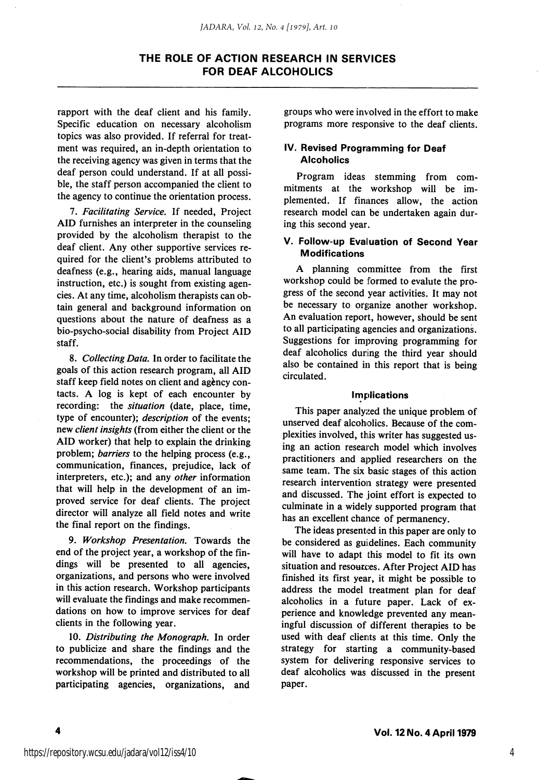## THE ROLE OF ACTION RESEARCH IN SERVICES FOR DEAF ALCOHOLICS

rapport with the deaf client and his family. Specific education on necessary alcoholism topics was also provided. If referral for treat ment was required, an in-depth orientation to the receiving agency was given in terms that the deaf person could understand. If at all possi ble, the staff person accompanied the client to the agency to continue the orientation process.

7. Facilitating Service. If needed, Project AID furnishes an interpreter in the counseling provided by the alcoholism therapist to the deaf client. Any other supportive services re quired for the client's problems attributed to deafness (e.g., hearing aids, manual language instruction, etc.) is sought from existing agen cies. At any time, alcoholism therapists can ob tain general and background information on questions about the nature of deafness as a bio-psycho-social disability from Project AID staff.

8. Collecting Data. In order to facilitate the goals of this action research program, all AID staff keep field notes on client and agency contacts. A log is kept of each encounter by recording: the situation (date, place, time, type of encounter); description of the events; new client insights (from either the client or the AID worker) that help to explain the drinking problem; barriers to the helping process (e.g., communication, finances, prejudice, lack of interpreters, etc.); and any other information that will help in the development of an im proved service for deaf clients. The project director will analyze all field notes and write the final report on the findings.

9. Workshop Presentation. Towards the end of the project year, a workshop of the fin dings will be presented to all agencies, organizations, and persons who were involved in this action research. Workshop participants will evaluate the findings and make recommen dations on how to improve services for deaf clients in the following year.

10. Distributing the Monograph. In order to publicize and share the findings and the recommendations, the proceedings of the workshop will be printed and distributed to all participating agencies, organizations, and groups who were involved in the effort to make programs more responsive to the deaf clients.

#### IV. Revised Programming for Deaf **Alcoholics**

Program ideas stemming from com mitments at the workshop will be im plemented. If finances allow, the action research model can be undertaken again dur ing this second year.

#### V. Follow-up Evaluation of Second Year Modifications

A planning committee from the first workshop could be formed to evalute the pro gress of the second year activities. It may not be necessary to organize another workshop. An evaluation report, however, should be sent to all participating agencies and organizations. Suggestions for improving programming for deaf alcoholics during the third year should also be contained in this report that is being circulated.

#### Implications

This paper analyzed the unique problem of unserved deaf alcoholics. Because of the com plexities involved, this writer has suggested us ing an action research model which involves practitioners and applied researchers on the same team. The six basic stages of this action research intervention strategy were presented and discussed. The joint effort is expected to culminate in a widely supported program that has an excellent chance of permanency.

The ideas presented in this paper are only to be considered as guidelines. Each community will have to adapt this model to fit its own situation and resources. After Project AID has finished its first year, it might be possible to address the model treatment plan for deaf alcoholics in a future paper. Lack of ex perience and knowledge prevented any mean ingful discussion of different therapies to be used with deaf clients at this time. Only the strategy for starting a community-based system for delivering responsive services to deaf alcoholics was discussed in the present paper.

4